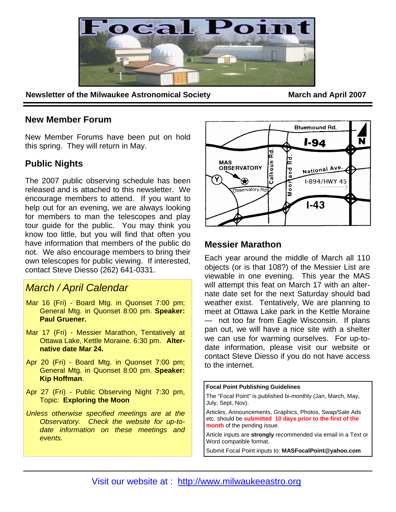

**Newsletter of the Milwaukee Astronomical Society March and April 2007** 

### **New Member Forum**

New Member Forums have been put on hold this spring. They will return in May.

## **Public Nights**

The 2007 public observing schedule has been released and is attached to this newsletter. We encourage members to attend. If you want to help out for an evening, we are always looking for members to man the telescopes and play tour guide for the public. You may think you know too little, but you will find that often you have information that members of the public do not. We also encourage members to bring their own telescopes for public viewing. If interested, contact Steve Diesso (262) 641-0331.

# *March / April Calendar*

- Mar 16 (Fri) Board Mtg. in Quonset 7:00 pm; General Mtg. in Quonset 8:00 pm. **Speaker: Paul Gruener.**
- Mar 17 (Fri) Messier Marathon, Tentatively at Ottawa Lake, Kettle Moraine. 6:30 pm. **Alternative date Mar 24.**
- Apr 20 (Fri) Board Mtg. in Quonset 7:00 pm; General Mtg. in Quonset 8:00 pm. **Speaker: Kip Hoffman**.
- Apr 27 (Fri) Public Observing Night 7:30 pm, Topic: **Exploring the Moon**
- *Unless otherwise specified meetings are at the Observatory. Check the website for up-todate information on these meetings and events.*



## **Messier Marathon**

Each year around the middle of March all 110 objects (or is that 108?) of the Messier List are viewable in one evening. This year the MAS will attempt this feat on March 17 with an alternate date set for the next Saturday should bad weather exist. Tentatively, We are planning to meet at Ottawa Lake park in the Kettle Moraine — not too far from Eagle Wisconsin. If plans pan out, we will have a nice site with a shelter we can use for warming ourselves. For up-todate information, please visit our website or contact Steve Diesso if you do not have access to the internet.

**Focal Point Publishing Guidelines** 

The "Focal Point" is published bi-monthly (Jan, March, May, July, Sept, Nov).

Articles, Announcements, Graphics, Photos, Swap/Sale Ads etc. should be **submitted 10 days prior to the first of the month** of the pending issue.

Article inputs are **strongly** recommended via email in a Text or Word compatible format.

Submit Focal Point inputs to: **MASFocalPoint@yahoo.com**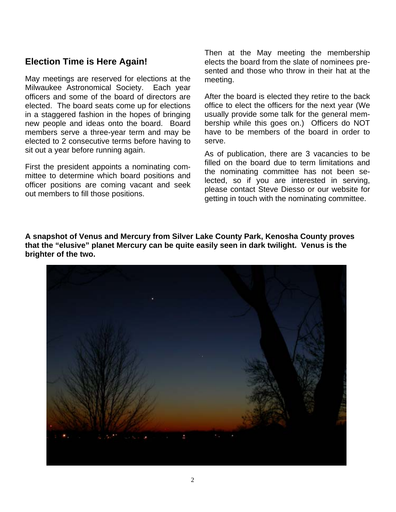## **Election Time is Here Again!**

May meetings are reserved for elections at the Milwaukee Astronomical Society. Each year officers and some of the board of directors are elected. The board seats come up for elections in a staggered fashion in the hopes of bringing new people and ideas onto the board. Board members serve a three-year term and may be elected to 2 consecutive terms before having to sit out a year before running again.

First the president appoints a nominating committee to determine which board positions and officer positions are coming vacant and seek out members to fill those positions.

Then at the May meeting the membership elects the board from the slate of nominees presented and those who throw in their hat at the meeting.

After the board is elected they retire to the back office to elect the officers for the next year (We usually provide some talk for the general membership while this goes on.) Officers do NOT have to be members of the board in order to serve.

As of publication, there are 3 vacancies to be filled on the board due to term limitations and the nominating committee has not been selected, so if you are interested in serving, please contact Steve Diesso or our website for getting in touch with the nominating committee.

**A snapshot of Venus and Mercury from Silver Lake County Park, Kenosha County proves that the "elusive" planet Mercury can be quite easily seen in dark twilight. Venus is the brighter of the two.**